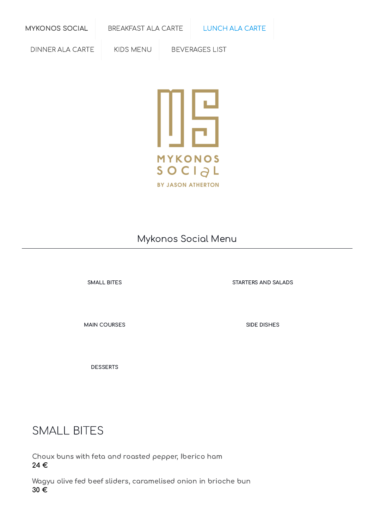[MYKONOS](https://online-menus.com/mykonos-social/) SOCIAL [BREAKFAST](https://online-menus.com/mykonos-social-breakfast/) ALA CARTE [LUNCH](https://online-menus.com/mykonos-social-lunch/) ALA CARTE

[DINNER](https://online-menus.com/mykonos-social-dinner-carte/) ALA CARTE | KIDS [MENU](https://online-menus.com/mykonos-social-kid-menu/) | [BEVERAGES](https://online-menus.com/mykonos-social-beverages-list-a/) LIST



#### Mykonos Social Menu

MAIN [COURSES](#page-2-0) SIDE [DISHES](#page-3-0)

[DESSERTS](#page-3-1)

[SMALL](#page-0-0) BITES [STARTERS](#page-1-0) AND SALADS

### <span id="page-0-0"></span>SMALL BITES

Choux buns with feta and roasted pepper, Iberico ham 24 €

Wagyu olive fed beef sliders, caramelised onion in brioche bun 30 €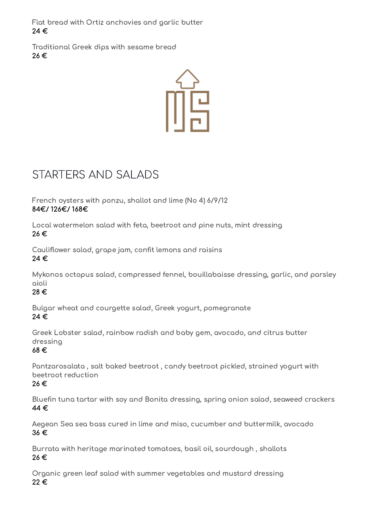Flat bread with Ortiz anchovies and garlic butter 24 €

Traditional Greek dips with sesame bread 26 €



## <span id="page-1-0"></span>STARTERS AND SALADS

French oysters with ponzu, shallot and lime (No 4) 6/9/12 84€/ 126€/ 168€

Local watermelon salad with feta, beetroot and pine nuts, mint dressing 26 €

Cauliflower salad, grape jam, confit lemons and raisins 24 €

Mykonos octopus salad, compressed fennel, bouillabaisse dressing, garlic, and parsley aioli

28 €

Bulgar wheat and courgette salad, Greek yogurt, pomegranate 24 €

Greek Lobster salad, rainbow radish and baby gem, avocado, and citrus butter dressing

68 €

Pantzarosalata , salt baked beetroot , candy beetroot pickled, strained yogurt with beetroot reduction

26 €

Bluefin tuna tartar with soy and Bonita dressing, spring onion salad, seaweed crackers 44 €

Aegean Sea sea bass cured in lime and miso, cucumber and buttermilk, avocado 36 €

Burrata with heritage marinated tomatoes, basil oil, sourdough , shallots 26 €

Organic green leaf salad with summer vegetables and mustard dressing 22 €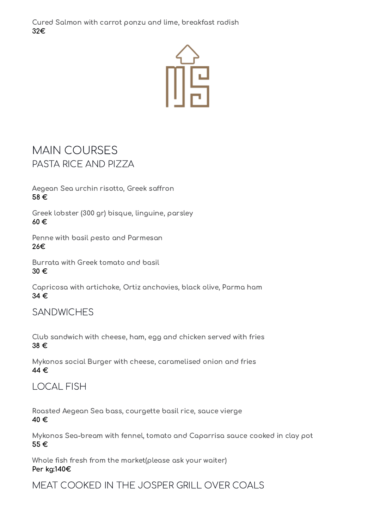Cured Salmon with carrot ponzu and lime, breakfast radish 32€



### <span id="page-2-0"></span>MAIN COURSES PASTA RICE AND PIZZA

Aegean Sea urchin risotto, Greek saffron 58 €

Greek lobster (300 gr) bisque, linguine, parsley 60 €

Penne with basil pesto and Parmesan 26€

Burrata with Greek tomato and basil 30 €

Capricosa with artichoke, Ortiz anchovies, black olive, Parma ham 34 €

#### **SANDWICHES**

Club sandwich with cheese, ham, egg and chicken served with fries 38 €

Mykonos social Burger with cheese, caramelised onion and fries 44 €

#### LOCAL FISH

Roasted Aegean Sea bass, courgette basil rice, sauce vierge 40 €

Mykonos Sea-bream with fennel, tomato and Caparrisa sauce cooked in clay pot 55 €

Whole fish fresh from the market(please ask your waiter) Per kg:140€

MEAT COOKED IN THE JOSPER GRILL OVER COALS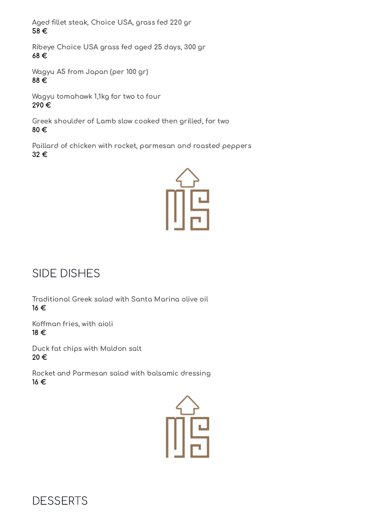Aged fillet steak, Choice USA, grass fed 220 gr 58 €

Ribeye Choice USA grass fed aged 25 days, 300 gr 68 €

Wagyu A5 from Japan (per 100 gr) 88 €

Wagyu tomahawk 1,1kg for two to four 290 €

Greek shoulder of Lamb slow cooked then grilled, for two 80 €

Paillard of chicken with rocket, parmesan and roasted peppers 32 €



# <span id="page-3-0"></span>SIDE DISHES

Traditional Greek salad with Santa Marina olive oil 16 €

Koffman fries, with aioli 18 €

Duck fat chips with Maldon salt 20 €

Rocket and Parmesan salad with balsamic dressing 16 €



<span id="page-3-1"></span>